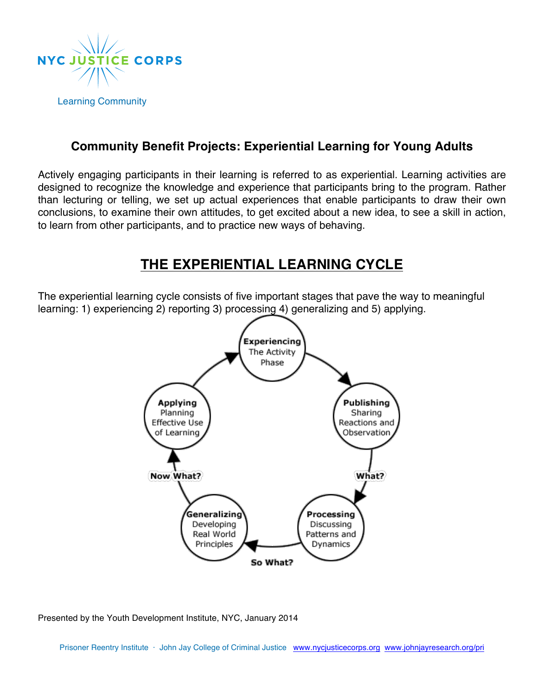

## **Community Benefit Projects: Experiential Learning for Young Adults**

Actively engaging participants in their learning is referred to as experiential. Learning activities are designed to recognize the knowledge and experience that participants bring to the program. Rather than lecturing or telling, we set up actual experiences that enable participants to draw their own conclusions, to examine their own attitudes, to get excited about a new idea, to see a skill in action, to learn from other participants, and to practice new ways of behaving.

# **THE EXPERIENTIAL LEARNING CYCLE**

The experiential learning cycle consists of five important stages that pave the way to meaningful learning: 1) experiencing 2) reporting 3) processing 4) generalizing and 5) applying.



Presented by the Youth Development Institute, NYC, January 2014

Prisoner Reentry Institute · John Jay College of Criminal Justice www.nycjusticecorps.org www.johnjayresearch.org/pri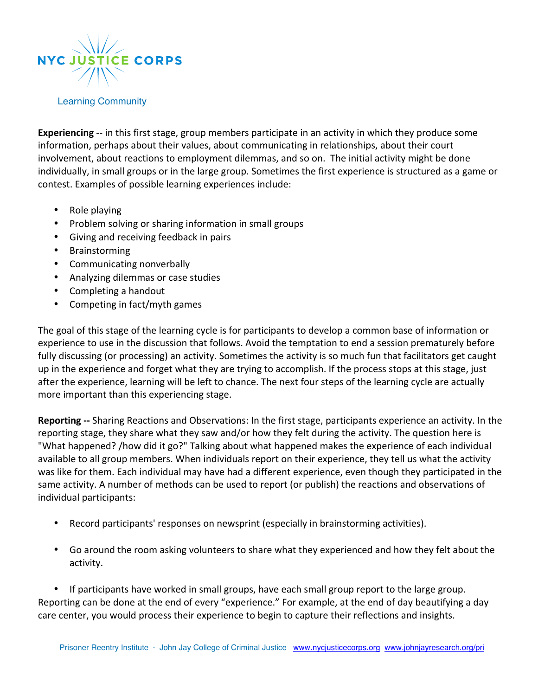

**Experiencing** -- in this first stage, group members participate in an activity in which they produce some information, perhaps about their values, about communicating in relationships, about their court involvement, about reactions to employment dilemmas, and so on. The initial activity might be done individually, in small groups or in the large group. Sometimes the first experience is structured as a game or contest. Examples of possible learning experiences include:

- Role playing
- Problem solving or sharing information in small groups
- Giving and receiving feedback in pairs
- Brainstorming
- Communicating nonverbally
- Analyzing dilemmas or case studies
- Completing a handout
- Competing in fact/myth games

The goal of this stage of the learning cycle is for participants to develop a common base of information or experience to use in the discussion that follows. Avoid the temptation to end a session prematurely before fully discussing (or processing) an activity. Sometimes the activity is so much fun that facilitators get caught up in the experience and forget what they are trying to accomplish. If the process stops at this stage, just after the experience, learning will be left to chance. The next four steps of the learning cycle are actually more important than this experiencing stage.

**Reporting** -- Sharing Reactions and Observations: In the first stage, participants experience an activity. In the reporting stage, they share what they saw and/or how they felt during the activity. The question here is "What happened? /how did it go?" Talking about what happened makes the experience of each individual available to all group members. When individuals report on their experience, they tell us what the activity was like for them. Each individual may have had a different experience, even though they participated in the same activity. A number of methods can be used to report (or publish) the reactions and observations of individual participants:

- Record participants' responses on newsprint (especially in brainstorming activities).
- Go around the room asking volunteers to share what they experienced and how they felt about the activity.

• If participants have worked in small groups, have each small group report to the large group. Reporting can be done at the end of every "experience." For example, at the end of day beautifying a day care center, you would process their experience to begin to capture their reflections and insights.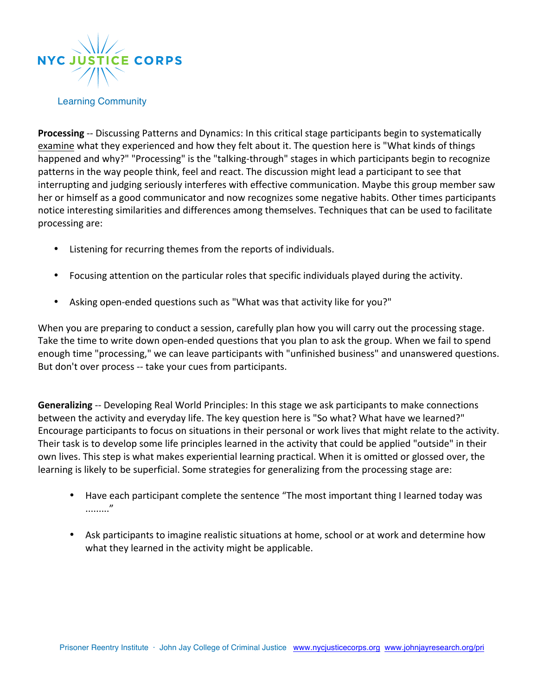

**Processing** -- Discussing Patterns and Dynamics: In this critical stage participants begin to systematically examine what they experienced and how they felt about it. The question here is "What kinds of things happened and why?" "Processing" is the "talking-through" stages in which participants begin to recognize patterns in the way people think, feel and react. The discussion might lead a participant to see that interrupting and judging seriously interferes with effective communication. Maybe this group member saw her or himself as a good communicator and now recognizes some negative habits. Other times participants notice interesting similarities and differences among themselves. Techniques that can be used to facilitate processing are:

- Listening for recurring themes from the reports of individuals.
- Focusing attention on the particular roles that specific individuals played during the activity.
- Asking open-ended questions such as "What was that activity like for you?"

When you are preparing to conduct a session, carefully plan how you will carry out the processing stage. Take the time to write down open-ended questions that you plan to ask the group. When we fail to spend enough time "processing," we can leave participants with "unfinished business" and unanswered questions. But don't over process -- take your cues from participants.

**Generalizing** -- Developing Real World Principles: In this stage we ask participants to make connections between the activity and everyday life. The key question here is "So what? What have we learned?" Encourage participants to focus on situations in their personal or work lives that might relate to the activity. Their task is to develop some life principles learned in the activity that could be applied "outside" in their own lives. This step is what makes experiential learning practical. When it is omitted or glossed over, the learning is likely to be superficial. Some strategies for generalizing from the processing stage are:

- Have each participant complete the sentence "The most important thing I learned today was ........."
- Ask participants to imagine realistic situations at home, school or at work and determine how what they learned in the activity might be applicable.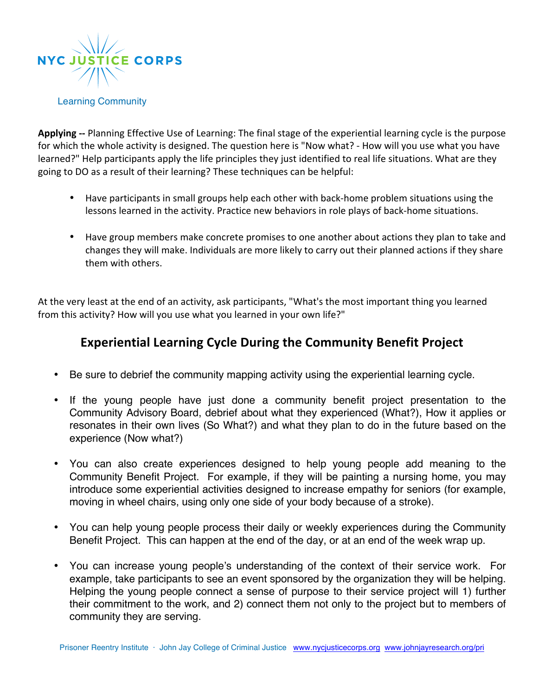

Applying -- Planning Effective Use of Learning: The final stage of the experiential learning cycle is the purpose for which the whole activity is designed. The question here is "Now what? - How will you use what you have learned?" Help participants apply the life principles they just identified to real life situations. What are they going to DO as a result of their learning? These techniques can be helpful:

- Have participants in small groups help each other with back-home problem situations using the lessons learned in the activity. Practice new behaviors in role plays of back-home situations.
- Have group members make concrete promises to one another about actions they plan to take and changes they will make. Individuals are more likely to carry out their planned actions if they share them with others.

At the very least at the end of an activity, ask participants, "What's the most important thing you learned from this activity? How will you use what you learned in your own life?"

# **Experiential Learning Cycle During the Community Benefit Project**

- Be sure to debrief the community mapping activity using the experiential learning cycle.
- If the young people have just done a community benefit project presentation to the Community Advisory Board, debrief about what they experienced (What?), How it applies or resonates in their own lives (So What?) and what they plan to do in the future based on the experience (Now what?)
- You can also create experiences designed to help young people add meaning to the Community Benefit Project. For example, if they will be painting a nursing home, you may introduce some experiential activities designed to increase empathy for seniors (for example, moving in wheel chairs, using only one side of your body because of a stroke).
- You can help young people process their daily or weekly experiences during the Community Benefit Project. This can happen at the end of the day, or at an end of the week wrap up.
- You can increase young people's understanding of the context of their service work. For example, take participants to see an event sponsored by the organization they will be helping. Helping the young people connect a sense of purpose to their service project will 1) further their commitment to the work, and 2) connect them not only to the project but to members of community they are serving.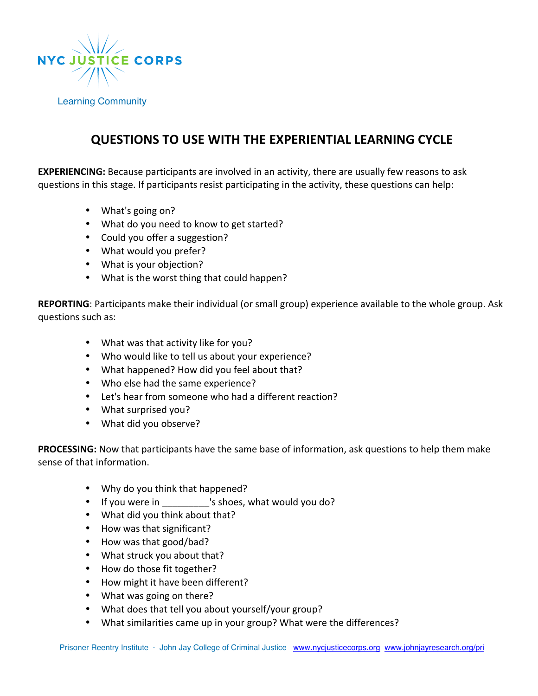

## **QUESTIONS TO USE WITH THE EXPERIENTIAL LEARNING CYCLE**

**EXPERIENCING:** Because participants are involved in an activity, there are usually few reasons to ask questions in this stage. If participants resist participating in the activity, these questions can help:

- What's going on?
- What do you need to know to get started?
- Could you offer a suggestion?
- What would you prefer?
- What is your objection?
- What is the worst thing that could happen?

**REPORTING**: Participants make their individual (or small group) experience available to the whole group. Ask questions such as:

- What was that activity like for you?
- Who would like to tell us about your experience?
- What happened? How did you feel about that?
- Who else had the same experience?
- Let's hear from someone who had a different reaction?
- What surprised you?
- What did you observe?

**PROCESSING:** Now that participants have the same base of information, ask questions to help them make sense of that information.

- Why do you think that happened?
- If you were in \_\_\_\_\_\_\_\_\_'s shoes, what would you do?
- What did you think about that?
- How was that significant?
- How was that good/bad?
- What struck you about that?
- How do those fit together?
- How might it have been different?
- What was going on there?
- What does that tell you about yourself/your group?
- What similarities came up in your group? What were the differences?